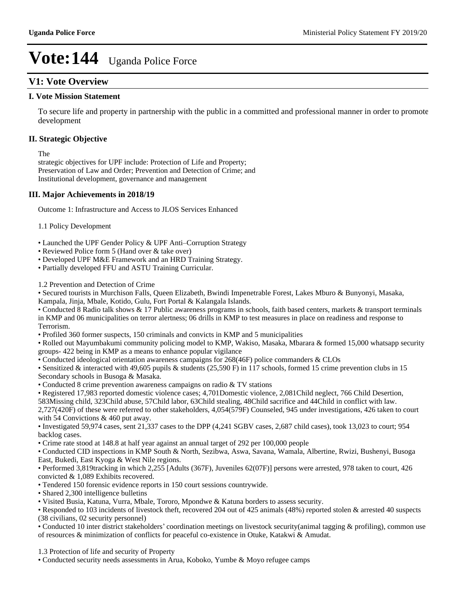### **V1: Vote Overview**

#### **I. Vote Mission Statement**

To secure life and property in partnership with the public in a committed and professional manner in order to promote development

#### **II. Strategic Objective**

The

strategic objectives for UPF include: Protection of Life and Property; Preservation of Law and Order; Prevention and Detection of Crime; and Institutional development, governance and management

#### **III. Major Achievements in 2018/19**

Outcome 1: Infrastructure and Access to JLOS Services Enhanced

1.1 Policy Development

• Launched the UPF Gender Policy & UPF Anti-Corruption Strategy

• Reviewed Police form 5 (Hand over & take over)

Developed UPF M&E Framework and an HRD Training Strategy.

Partially developed FFU and ASTU Training Curricular.

1.2 Prevention and Detection of Crime

Secured tourists in Murchison Falls, Queen Elizabeth, Bwindi Impenetrable Forest, Lakes Mburo & Bunyonyi, Masaka, Kampala, Jinja, Mbale, Kotido, Gulu, Fort Portal & Kalangala Islands.

• Conducted 8 Radio talk shows & 17 Public awareness programs in schools, faith based centers, markets & transport terminals in KMP and 06 municipalities on terror alertness; 06 drills in KMP to test measures in place on readiness and response to Terrorism.

Profiled 360 former suspects, 150 criminals and convicts in KMP and 5 municipalities

Rolled out Mayumbakumi community policing model to KMP, Wakiso, Masaka, Mbarara & formed 15,000 whatsapp security groups- 422 being in KMP as a means to enhance popular vigilance

Conducted ideological orientation awareness campaigns for 268(46F) police commanders & CLOs

Sensitized & interacted with 49,605 pupils & students (25,590 F) in 117 schools, formed 15 crime prevention clubs in 15 Secondary schools in Busoga & Masaka.

Conducted 8 crime prevention awareness campaigns on radio & TV stations

Registered 17,983 reported domestic violence cases; 4,701Domestic violence, 2,081Child neglect, 766 Child Desertion,

583Missing child, 323Child abuse, 57Child labor, 63Child stealing, 48Child sacrifice and 44Child in conflict with law.

2,727(420F) of these were referred to other stakeholders, 4,054(579F) Counseled, 945 under investigations, 426 taken to court with 54 Convictions & 460 put away.

Investigated 59,974 cases, sent 21,337 cases to the DPP (4,241 SGBV cases, 2,687 child cases), took 13,023 to court; 954 backlog cases.

Crime rate stood at 148.8 at half year against an annual target of 292 per 100,000 people

Conducted CID inspections in KMP South & North, Sezibwa, Aswa, Savana, Wamala, Albertine, Rwizi, Bushenyi, Busoga East, Bukedi, East Kyoga & West Nile regions.

Performed 3,819tracking in which 2,255 [Adults (367F), Juveniles 62(07F)] persons were arrested, 978 taken to court, 426 convicted & 1,089 Exhibits recovered.

Tendered 150 forensic evidence reports in 150 court sessions countrywide.

Shared 2,300 intelligence bulletins

Visited Busia, Katuna, Vurra, Mbale, Tororo, Mpondwe & Katuna borders to assess security.

• Responded to 103 incidents of livestock theft, recovered 204 out of 425 animals (48%) reported stolen & arrested 40 suspects (38 civilians, 02 security personnel)

• Conducted 10 inter district stakeholders' coordination meetings on livestock security(animal tagging  $\&$  profiling), common use of resources & minimization of conflicts for peaceful co-existence in Otuke, Katakwi & Amudat.

1.3 Protection of life and security of Property

Conducted security needs assessments in Arua, Koboko, Yumbe & Moyo refugee camps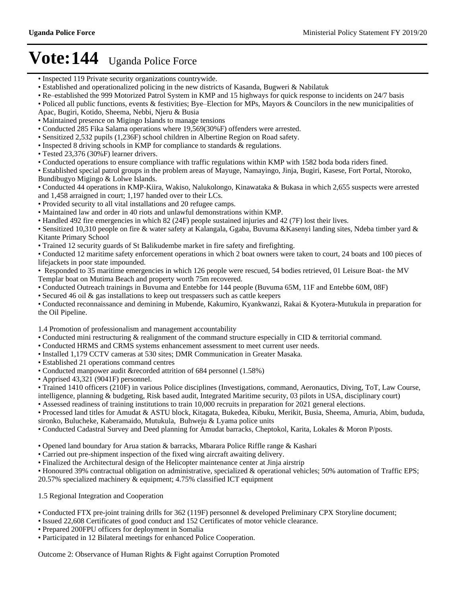- Inspected 119 Private security organizations countrywide.
- Established and operationalized policing in the new districts of Kasanda, Bugweri & Nabilatuk
- Re-established the 999 Motorized Patrol System in KMP and 15 highways for quick response to incidents on 24/7 basis
- Policed all public functions, events & festivities; Bye-Election for MPs, Mayors & Councilors in the new municipalities of
- Apac, Bugiri, Kotido, Sheema, Nebbi, Njeru & Busia
- Maintained presence on Migingo Islands to manage tensions
- Conducted 285 Fika Salama operations where 19,569(30%F) offenders were arrested.
- Sensitized 2,532 pupils (1,236F) school children in Albertine Region on Road safety.
- Inspected 8 driving schools in KMP for compliance to standards & regulations.
- Tested 23,376 (30%F) learner drivers.
- Conducted operations to ensure compliance with traffic regulations within KMP with 1582 boda boda riders fined.
- Established special patrol groups in the problem areas of Mayuge, Namayingo, Jinja, Bugiri, Kasese, Fort Portal, Ntoroko, Bundibugyo Migingo & Lolwe Islands.
- Conducted 44 operations in KMP-Kiira, Wakiso, Nalukolongo, Kinawataka & Bukasa in which 2,655 suspects were arrested and 1,458 arraigned in court; 1,197 handed over to their LCs.
- Provided security to all vital installations and 20 refugee camps.
- Maintained law and order in 40 riots and unlawful demonstrations within KMP.
- Handled 492 fire emergencies in which 82 (24F) people sustained injuries and 42 (7F) lost their lives.
- Sensitized 10,310 people on fire & water safety at Kalangala, Ggaba, Buvuma &Kasenyi landing sites, Ndeba timber yard & Kitante Primary School
- Trained 12 security guards of St Balikudembe market in fire safety and firefighting.
- Conducted 12 maritime safety enforcement operations in which 2 boat owners were taken to court, 24 boats and 100 pieces of lifejackets in poor state impounded.
- Responded to 35 maritime emergencies in which 126 people were rescued, 54 bodies retrieved, 01 Leisure Boat- the MV Templar boat on Mutima Beach and property worth 75m recovered.
- Conducted Outreach trainings in Buvuma and Entebbe for 144 people (Buvuma 65M, 11F and Entebbe 60M, 08F)
- Secured 46 oil & gas installations to keep out trespassers such as cattle keepers

Conducted reconnaissance and demining in Mubende, Kakumiro, Kyankwanzi, Rakai & Kyotera-Mutukula in preparation for the Oil Pipeline.

1.4 Promotion of professionalism and management accountability

- Conducted mini restructuring & realignment of the command structure especially in CID & territorial command.
- Conducted HRMS and CRMS systems enhancement assessment to meet current user needs.
- Installed 1,179 CCTV cameras at 530 sites; DMR Communication in Greater Masaka.
- Established 21 operations command centres
- Conducted manpower audit &recorded attrition of 684 personnel (1.58%)
- Apprised 43,321 (9041F) personnel.

Trained 1410 officers (210F) in various Police disciplines (Investigations, command, Aeronautics, Diving, ToT, Law Course,

intelligence, planning & budgeting, Risk based audit, Integrated Maritime security, 03 pilots in USA, disciplinary court) Assessed readiness of training institutions to train 10,000 recruits in preparation for 2021 general elections.

Processed land titles for Amudat & ASTU block, Kitagata, Bukedea, Kibuku, Merikit, Busia, Sheema, Amuria, Abim, bududa,

sironko, Bulucheke, Kaberamaido, Mutukula, Buhweju & Lyama police units

Conducted Cadastral Survey and Deed planning for Amudat barracks, Cheptokol, Karita, Lokales & Moron P/posts.

Opened land boundary for Arua station & barracks, Mbarara Police Riffle range & Kashari

Carried out pre-shipment inspection of the fixed wing aircraft awaiting delivery.

Finalized the Architectural design of the Helicopter maintenance center at Jinja airstrip

Honoured 39% contractual obligation on administrative, specialized & operational vehicles; 50% automation of Traffic EPS; 20.57% specialized machinery & equipment; 4.75% classified ICT equipment

1.5 Regional Integration and Cooperation

- Conducted FTX pre-joint training drills for 362 (119F) personnel & developed Preliminary CPX Storyline document;
- Issued 22,608 Certificates of good conduct and 152 Certificates of motor vehicle clearance.
- Prepared 200FPU officers for deployment in Somalia
- Participated in 12 Bilateral meetings for enhanced Police Cooperation.

Outcome 2: Observance of Human Rights & Fight against Corruption Promoted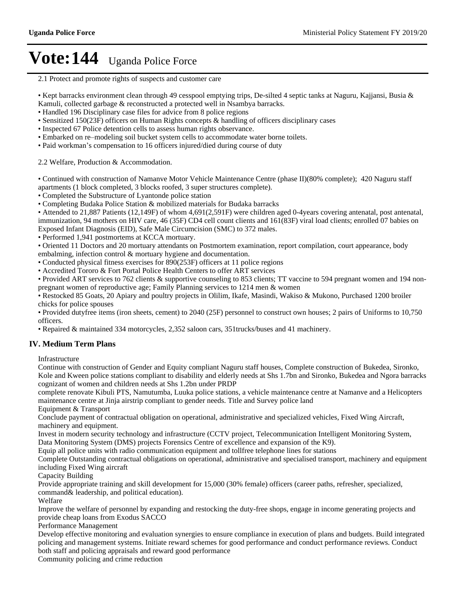2.1 Protect and promote rights of suspects and customer care

• Kept barracks environment clean through 49 cesspool emptying trips, De-silted 4 septic tanks at Naguru, Kajjansi, Busia  $\&$ Kamuli, collected garbage & reconstructed a protected well in Nsambya barracks.

Handled 196 Disciplinary case files for advice from 8 police regions

Sensitized 150(23F) officers on Human Rights concepts & handling of officers disciplinary cases

• Inspected 67 Police detention cells to assess human rights observance.

• Embarked on re-modeling soil bucket system cells to accommodate water borne toilets.

• Paid workman's compensation to 16 officers injured/died during course of duty

2.2 Welfare, Production & Accommodation.

Continued with construction of Namanve Motor Vehicle Maintenance Centre (phase II)(80% complete); 420 Naguru staff apartments (1 block completed, 3 blocks roofed, 3 super structures complete).

Completed the Substructure of Lyantonde police station

Completing Budaka Police Station & mobilized materials for Budaka barracks

Attended to 21,887 Patients (12,149F) of whom 4,691(2,591F) were children aged 0-4years covering antenatal, post antenatal, immunization, 94 mothers on HIV care, 46 (35F) CD4 cell count clients and 161(83F) viral load clients; enrolled 07 babies on Exposed Infant Diagnosis (EID), Safe Male Circumcision (SMC) to 372 males.

Performed 1,941 postmortems at KCCA mortuary.

Oriented 11 Doctors and 20 mortuary attendants on Postmortem examination, report compilation, court appearance, body embalming, infection control & mortuary hygiene and documentation.

Conducted physical fitness exercises for 890(253F) officers at 11 police regions

Accredited Tororo & Fort Portal Police Health Centers to offer ART services

• Provided ART services to 762 clients & supportive counseling to 853 clients; TT vaccine to 594 pregnant women and 194 nonpregnant women of reproductive age; Family Planning services to 1214 men & women

• Restocked 85 Goats, 20 Apiary and poultry projects in Olilim, Ikafe, Masindi, Wakiso & Mukono, Purchased 1200 broiler chicks for police spouses

Provided dutyfree items (iron sheets, cement) to 2040 (25F) personnel to construct own houses; 2 pairs of Uniforms to 10,750 officers.

Repaired & maintained 334 motorcycles, 2,352 saloon cars, 351trucks/buses and 41 machinery.

### **IV. Medium Term Plans**

Infrastructure

Continue with construction of Gender and Equity compliant Naguru staff houses, Complete construction of Bukedea, Sironko, Kole and Kween police stations compliant to disability and elderly needs at Shs 1.7bn and Sironko, Bukedea and Ngora barracks cognizant of women and children needs at Shs 1.2bn under PRDP

complete renovate Kibuli PTS, Namutumba, Luuka police stations, a vehicle maintenance centre at Namanve and a Helicopters maintenance centre at Jinja airstrip compliant to gender needs. Title and Survey police land

Equipment & Transport

Conclude payment of contractual obligation on operational, administrative and specialized vehicles, Fixed Wing Aircraft, machinery and equipment.

Invest in modern security technology and infrastructure (CCTV project, Telecommunication Intelligent Monitoring System, Data Monitoring System (DMS) projects Forensics Centre of excellence and expansion of the K9).

Equip all police units with radio communication equipment and tollfree telephone lines for stations

Complete Outstanding contractual obligations on operational, administrative and specialised transport, machinery and equipment including Fixed Wing aircraft

Capacity Building

Provide appropriate training and skill development for 15,000 (30% female) officers (career paths, refresher, specialized, command& leadership, and political education).

Welfare

Improve the welfare of personnel by expanding and restocking the duty-free shops, engage in income generating projects and provide cheap loans from Exodus SACCO

Performance Management

Develop effective monitoring and evaluation synergies to ensure compliance in execution of plans and budgets. Build integrated policing and management systems. Initiate reward schemes for good performance and conduct performance reviews. Conduct both staff and policing appraisals and reward good performance

Community policing and crime reduction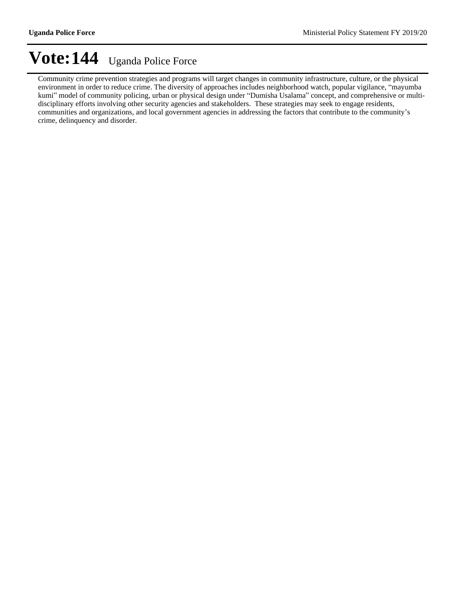Community crime prevention strategies and programs will target changes in community infrastructure, culture, or the physical environment in order to reduce crime. The diversity of approaches includes neighborhood watch, popular vigilance, "mayumba kumi" model of community policing, urban or physical design under "Dumisha Usalama" concept, and comprehensive or multidisciplinary efforts involving other security agencies and stakeholders. These strategies may seek to engage residents, communities and organizations, and local government agencies in addressing the factors that contribute to the community's crime, delinquency and disorder.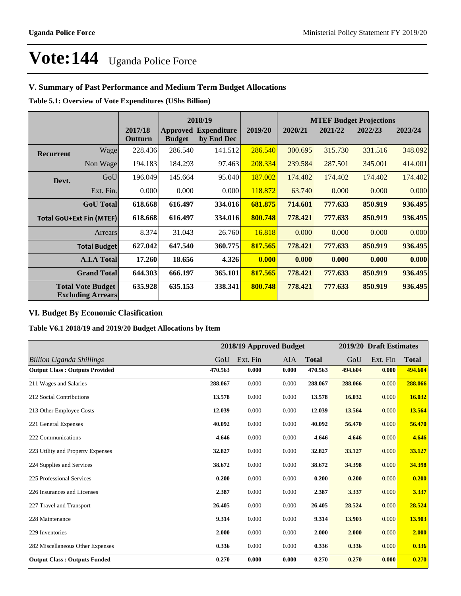### **V. Summary of Past Performance and Medium Term Budget Allocations**

**Table 5.1: Overview of Vote Expenditures (UShs Billion)**

|                  |                                                      |                    | 2018/19       |                                           |         |         |         | <b>MTEF Budget Projections</b> |         |  |  |  |
|------------------|------------------------------------------------------|--------------------|---------------|-------------------------------------------|---------|---------|---------|--------------------------------|---------|--|--|--|
|                  |                                                      | 2017/18<br>Outturn | <b>Budget</b> | <b>Approved Expenditure</b><br>by End Dec | 2019/20 | 2020/21 | 2021/22 | 2022/23                        | 2023/24 |  |  |  |
| <b>Recurrent</b> | Wagel                                                | 228.436            | 286.540       | 141.512                                   | 286.540 | 300.695 | 315.730 | 331.516                        | 348.092 |  |  |  |
|                  | Non Wage                                             | 194.183            | 184.293       | 97.463                                    | 208.334 | 239.584 | 287.501 | 345.001                        | 414.001 |  |  |  |
| Devt.            | GoU                                                  | 196.049            | 145.664       | 95.040                                    | 187.002 | 174.402 | 174.402 | 174.402                        | 174.402 |  |  |  |
|                  | Ext. Fin.                                            | 0.000              | 0.000         | 0.000                                     | 118.872 | 63.740  | 0.000   | 0.000                          | 0.000   |  |  |  |
|                  | <b>GoU</b> Total                                     | 618.668            | 616.497       | 334.016                                   | 681.875 | 714.681 | 777.633 | 850.919                        | 936.495 |  |  |  |
|                  | <b>Total GoU+Ext Fin (MTEF)</b>                      | 618.668            | 616.497       | 334.016                                   | 800.748 | 778.421 | 777.633 | 850.919                        | 936.495 |  |  |  |
|                  | Arrears                                              | 8.374              | 31.043        | 26.760                                    | 16.818  | 0.000   | 0.000   | 0.000                          | 0.000   |  |  |  |
|                  | Total Budget                                         | 627.042            | 647.540       | 360.775                                   | 817.565 | 778.421 | 777.633 | 850.919                        | 936.495 |  |  |  |
|                  | <b>A.I.A Total</b>                                   | 17.260             | 18.656        | 4.326                                     | 0.000   | 0.000   | 0.000   | 0.000                          | 0.000   |  |  |  |
|                  | <b>Grand Total</b>                                   | 644.303            | 666.197       | 365.101                                   | 817.565 | 778.421 | 777.633 | 850.919                        | 936.495 |  |  |  |
|                  | <b>Total Vote Budget</b><br><b>Excluding Arrears</b> | 635.928            | 635.153       | 338.341                                   | 800.748 | 778.421 | 777.633 | 850.919                        | 936.495 |  |  |  |

### **VI. Budget By Economic Clasification**

**Table V6.1 2018/19 and 2019/20 Budget Allocations by Item**

|                                       |         | 2018/19 Approved Budget |       |              |         | 2019/20 Draft Estimates |              |
|---------------------------------------|---------|-------------------------|-------|--------------|---------|-------------------------|--------------|
| <b>Billion Uganda Shillings</b>       | GoU     | Ext. Fin                | AIA   | <b>Total</b> | GoU     | Ext. Fin                | <b>Total</b> |
| <b>Output Class: Outputs Provided</b> | 470.563 | 0.000                   | 0.000 | 470.563      | 494.604 | 0.000                   | 494.604      |
| 211 Wages and Salaries                | 288.067 | 0.000                   | 0.000 | 288.067      | 288.066 | 0.000                   | 288.066      |
| 212 Social Contributions              | 13.578  | 0.000                   | 0.000 | 13.578       | 16.032  | 0.000                   | 16.032       |
| 213 Other Employee Costs              | 12.039  | 0.000                   | 0.000 | 12.039       | 13.564  | 0.000                   | 13.564       |
| 221 General Expenses                  | 40.092  | 0.000                   | 0.000 | 40.092       | 56.470  | 0.000                   | 56.470       |
| 222 Communications                    | 4.646   | 0.000                   | 0.000 | 4.646        | 4.646   | 0.000                   | 4.646        |
| 223 Utility and Property Expenses     | 32.827  | 0.000                   | 0.000 | 32.827       | 33.127  | 0.000                   | 33.127       |
| 224 Supplies and Services             | 38.672  | 0.000                   | 0.000 | 38.672       | 34.398  | 0.000                   | 34.398       |
| 225 Professional Services             | 0.200   | 0.000                   | 0.000 | 0.200        | 0.200   | 0.000                   | 0.200        |
| 226 Insurances and Licenses           | 2.387   | 0.000                   | 0.000 | 2.387        | 3.337   | 0.000                   | 3.337        |
| 227 Travel and Transport              | 26.405  | 0.000                   | 0.000 | 26.405       | 28.524  | 0.000                   | 28.524       |
| 228 Maintenance                       | 9.314   | 0.000                   | 0.000 | 9.314        | 13.903  | 0.000                   | 13.903       |
| 229 Inventories                       | 2.000   | 0.000                   | 0.000 | 2.000        | 2.000   | 0.000                   | 2.000        |
| 282 Miscellaneous Other Expenses      | 0.336   | 0.000                   | 0.000 | 0.336        | 0.336   | 0.000                   | 0.336        |
| <b>Output Class: Outputs Funded</b>   | 0.270   | 0.000                   | 0.000 | 0.270        | 0.270   | 0.000                   | 0.270        |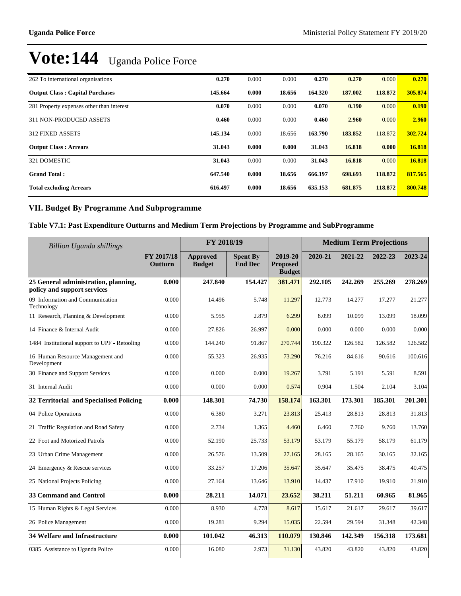| 262 To international organisations        | 0.270   | 0.000 | 0.000  | 0.270   | 0.270   | 0.000   | 0.270   |
|-------------------------------------------|---------|-------|--------|---------|---------|---------|---------|
| <b>Output Class: Capital Purchases</b>    | 145.664 | 0.000 | 18.656 | 164.320 | 187.002 | 118.872 | 305.874 |
| 281 Property expenses other than interest | 0.070   | 0.000 | 0.000  | 0.070   | 0.190   | 0.000   | 0.190   |
| 311 NON-PRODUCED ASSETS                   | 0.460   | 0.000 | 0.000  | 0.460   | 2.960   | 0.000   | 2.960   |
| 312 FIXED ASSETS                          | 145.134 | 0.000 | 18.656 | 163.790 | 183.852 | 118.872 | 302.724 |
| <b>Output Class: Arrears</b>              | 31.043  | 0.000 | 0.000  | 31.043  | 16.818  | 0.000   | 16.818  |
| 321 DOMESTIC                              | 31.043  | 0.000 | 0.000  | 31.043  | 16.818  | 0.000   | 16.818  |
| <b>Grand Total:</b>                       | 647.540 | 0.000 | 18.656 | 666.197 | 698.693 | 118,872 | 817.565 |
| <b>Total excluding Arrears</b>            | 616.497 | 0.000 | 18.656 | 635.153 | 681.875 | 118,872 | 800.748 |

### **VII. Budget By Programme And Subprogramme**

### **Table V7.1: Past Expenditure Outturns and Medium Term Projections by Programme and SubProgramme**

| <b>Billion Uganda shillings</b>                                     |                       | FY 2018/19                       |                                   |                                             | <b>Medium Term Projections</b> |         |         |         |
|---------------------------------------------------------------------|-----------------------|----------------------------------|-----------------------------------|---------------------------------------------|--------------------------------|---------|---------|---------|
|                                                                     | FY 2017/18<br>Outturn | <b>Approved</b><br><b>Budget</b> | <b>Spent By</b><br><b>End Dec</b> | 2019-20<br><b>Proposed</b><br><b>Budget</b> | 2020-21                        | 2021-22 | 2022-23 | 2023-24 |
| 25 General administration, planning,<br>policy and support services | 0.000                 | 247.840                          | 154.427                           | 381.471                                     | 292.105                        | 242.269 | 255.269 | 278.269 |
| 09 Information and Communication<br>Technology                      | 0.000                 | 14.496                           | 5.748                             | 11.297                                      | 12.773                         | 14.277  | 17.277  | 21.277  |
| 11 Research, Planning & Development                                 | 0.000                 | 5.955                            | 2.879                             | 6.299                                       | 8.099                          | 10.099  | 13.099  | 18.099  |
| 14 Finance & Internal Audit                                         | 0.000                 | 27.826                           | 26.997                            | 0.000                                       | 0.000                          | 0.000   | 0.000   | 0.000   |
| 1484 Institutional support to UPF - Retooling                       | 0.000                 | 144.240                          | 91.867                            | 270.744                                     | 190.322                        | 126.582 | 126.582 | 126.582 |
| 16 Human Resource Management and<br>Development                     | 0.000                 | 55.323                           | 26.935                            | 73.290                                      | 76.216                         | 84.616  | 90.616  | 100.616 |
| 30 Finance and Support Services                                     | 0.000                 | 0.000                            | 0.000                             | 19.267                                      | 3.791                          | 5.191   | 5.591   | 8.591   |
| 31 Internal Audit                                                   | 0.000                 | 0.000                            | 0.000                             | 0.574                                       | 0.904                          | 1.504   | 2.104   | 3.104   |
| 32 Territorial and Specialised Policing                             | 0.000                 | 148.301                          | 74.730                            | 158.174                                     | 163.301                        | 173.301 | 185.301 | 201.301 |
| 04 Police Operations                                                | 0.000                 | 6.380                            | 3.271                             | 23.813                                      | 25.413                         | 28.813  | 28.813  | 31.813  |
| 21 Traffic Regulation and Road Safety                               | 0.000                 | 2.734                            | 1.365                             | 4.460                                       | 6.460                          | 7.760   | 9.760   | 13.760  |
| 22 Foot and Motorized Patrols                                       | 0.000                 | 52.190                           | 25.733                            | 53.179                                      | 53.179                         | 55.179  | 58.179  | 61.179  |
| 23 Urban Crime Management                                           | 0.000                 | 26.576                           | 13.509                            | 27.165                                      | 28.165                         | 28.165  | 30.165  | 32.165  |
| 24 Emergency & Rescue services                                      | 0.000                 | 33.257                           | 17.206                            | 35.647                                      | 35.647                         | 35.475  | 38.475  | 40.475  |
| 25 National Projects Policing                                       | 0.000                 | 27.164                           | 13.646                            | 13.910                                      | 14.437                         | 17.910  | 19.910  | 21.910  |
| <b>33 Command and Control</b>                                       | 0.000                 | 28.211                           | 14.071                            | 23.652                                      | 38.211                         | 51.211  | 60.965  | 81.965  |
| 15 Human Rights & Legal Services                                    | 0.000                 | 8.930                            | 4.778                             | 8.617                                       | 15.617                         | 21.617  | 29.617  | 39.617  |
| 26 Police Management                                                | 0.000                 | 19.281                           | 9.294                             | 15.035                                      | 22.594                         | 29.594  | 31.348  | 42.348  |
| <b>34 Welfare and Infrastructure</b>                                | 0.000                 | 101.042                          | 46.313                            | 110.079                                     | 130.846                        | 142.349 | 156.318 | 173.681 |
| 0385 Assistance to Uganda Police                                    | 0.000                 | 16.080                           | 2.973                             | 31.130                                      | 43.820                         | 43.820  | 43.820  | 43.820  |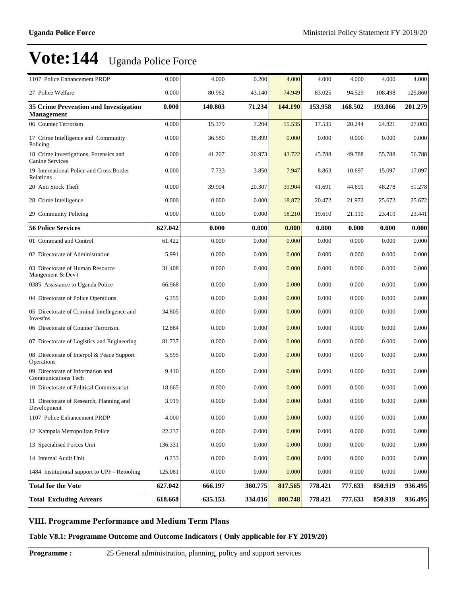| 1107 Police Enhancement PRDP                                      | 0.000   | 4.000   | 0.200   | 4.000   | 4.000   | 4.000   | 4.000   | 4.000     |
|-------------------------------------------------------------------|---------|---------|---------|---------|---------|---------|---------|-----------|
| 27 Police Welfare                                                 | 0.000   | 80.962  | 43.140  | 74.949  | 83.025  | 94.529  | 108.498 | 125.860   |
| <b>35 Crime Prevention and Investigation</b><br><b>Management</b> | 0.000   | 140.803 | 71.234  | 144.190 | 153.958 | 168.502 | 193.066 | 201.279   |
| 06 Counter Terrorism                                              | 0.000   | 15.379  | 7.204   | 15.535  | 17.535  | 20.244  | 24.821  | 27.003    |
| 17 Crime Intelligence and Community<br>Policing                   | 0.000   | 36.580  | 18.899  | 0.000   | 0.000   | 0.000   | 0.000   | 0.000     |
| 18 Crime investigations, Forensics and<br><b>Canine Services</b>  | 0.000   | 41.207  | 20.973  | 43.722  | 45.788  | 49.788  | 55.788  | 56.788    |
| 19 International Police and Cross Border<br>Relations             | 0.000   | 7.733   | 3.850   | 7.947   | 8.863   | 10.697  | 15.097  | 17.097    |
| 20 Anti Stock Theft                                               | 0.000   | 39.904  | 20.307  | 39.904  | 41.691  | 44.691  | 48.278  | 51.278    |
| 28 Crime Intelligence                                             | 0.000   | 0.000   | 0.000   | 18.872  | 20.472  | 21.972  | 25.672  | 25.672    |
| 29 Community Policing                                             | 0.000   | 0.000   | 0.000   | 18.210  | 19.610  | 21.110  | 23.410  | 23.441    |
| <b>56 Police Services</b>                                         | 627.042 | 0.000   | 0.000   | 0.000   | 0.000   | 0.000   | 0.000   | 0.000     |
| 01 Command and Control                                            | 61.422  | 0.000   | 0.000   | 0.000   | 0.000   | 0.000   | 0.000   | 0.000     |
| 02 Directorate of Administration                                  | 5.991   | 0.000   | 0.000   | 0.000   | 0.000   | 0.000   | 0.000   | 0.000     |
| 03 Directorate of Human Resource<br>Mangement & Dev't             | 31.408  | 0.000   | 0.000   | 0.000   | 0.000   | 0.000   | 0.000   | 0.000     |
| 0385 Assistance to Uganda Police                                  | 66.968  | 0.000   | 0.000   | 0.000   | 0.000   | 0.000   | 0.000   | 0.000     |
| 04 Directorate of Police Operations                               | 6.355   | 0.000   | 0.000   | 0.000   | 0.000   | 0.000   | 0.000   | 0.000     |
| 05 Directorate of Criminal Intellegence and<br>Invest'ns          | 34.805  | 0.000   | 0.000   | 0.000   | 0.000   | 0.000   | 0.000   | 0.000     |
| 06 Directorate of Counter Terrorism.                              | 12.884  | 0.000   | 0.000   | 0.000   | 0.000   | 0.000   | 0.000   | 0.000     |
| 07 Directorate of Logistics and Engineering                       | 81.737  | 0.000   | 0.000   | 0.000   | 0.000   | 0.000   | 0.000   | 0.000     |
| 08 Directorate of Interpol & Peace Support<br>Operations          | 5.595   | 0.000   | 0.000   | 0.000   | 0.000   | 0.000   | 0.000   | 0.000     |
| 09 Directorate of Information and<br><b>Communications Tech</b>   | 9.410   | 0.000   | 0.000   | 0.000   | 0.000   | 0.000   | 0.000   | 0.000     |
| 10 Directorate of Political Commissariat                          | 18.665  | 0.000   | 0.000   | 0.000   | 0.000   | 0.000   | 0.000   | 0.000     |
| 11 Directorate of Research, Planning and<br>Development           | 3.919   | 0.000   | 0.000   | 0.000   | 0.000   | 0.000   | 0.000   | 0.000     |
| 1107 Police Enhancement PRDP                                      | 4.000   | 0.000   | 0.000   | 0.000   | 0.000   | 0.000   | 0.000   | $0.000\,$ |
| 12 Kampala Metropolitan Police                                    | 22.237  | 0.000   | 0.000   | 0.000   | 0.000   | 0.000   | 0.000   | 0.000     |
| 13 Specialised Forces Unit                                        | 136.331 | 0.000   | 0.000   | 0.000   | 0.000   | 0.000   | 0.000   | 0.000     |
| 14 Internal Audit Unit                                            | 0.233   | 0.000   | 0.000   | 0.000   | 0.000   | 0.000   | 0.000   | 0.000     |
| 1484 Institutional support to UPF - Retooling                     | 125.081 | 0.000   | 0.000   | 0.000   | 0.000   | 0.000   | 0.000   | 0.000     |
| <b>Total for the Vote</b>                                         | 627.042 | 666.197 | 360.775 | 817.565 | 778.421 | 777.633 | 850.919 | 936.495   |
| <b>Total Excluding Arrears</b>                                    | 618.668 | 635.153 | 334.016 | 800.748 | 778.421 | 777.633 | 850.919 | 936.495   |

### **VIII. Programme Performance and Medium Term Plans**

**Table V8.1: Programme Outcome and Outcome Indicators ( Only applicable for FY 2019/20)**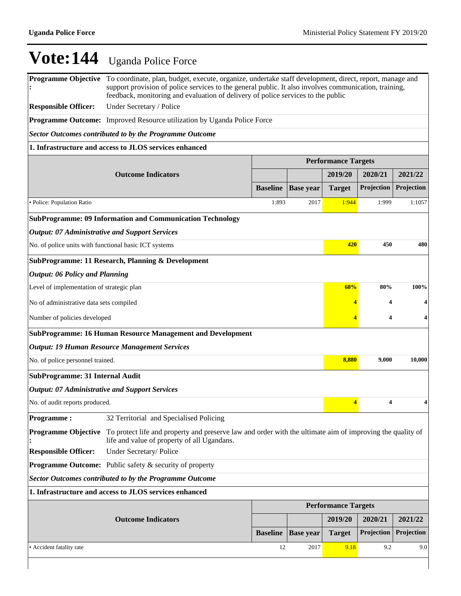**Programme Objective :** To coordinate, plan, budget, execute, organize, undertake staff development, direct, report, manage and support provision of police services to the general public. It also involves communication, training, feedback, monitoring and evaluation of delivery of police services to the public

**Responsible Officer:** Under Secretary / Police

**Programme Outcome:** Improved Resource utilization by Uganda Police Force

*Sector Outcomes contributed to by the Programme Outcome*

#### **1. Infrastructure and access to JLOS services enhanced**

|                                                                   |                                                                                                                                                          |                 | <b>Performance Targets</b> |                            |            |            |  |  |  |
|-------------------------------------------------------------------|----------------------------------------------------------------------------------------------------------------------------------------------------------|-----------------|----------------------------|----------------------------|------------|------------|--|--|--|
|                                                                   | <b>Outcome Indicators</b>                                                                                                                                |                 |                            | 2019/20                    | 2020/21    | 2021/22    |  |  |  |
|                                                                   |                                                                                                                                                          | <b>Baseline</b> | <b>Base year</b>           | <b>Target</b>              | Projection | Projection |  |  |  |
| · Police: Population Ratio                                        |                                                                                                                                                          | 1:893           | 2017                       | 1:944                      | 1:999      | 1:1057     |  |  |  |
|                                                                   | <b>SubProgramme: 09 Information and Communication Technology</b>                                                                                         |                 |                            |                            |            |            |  |  |  |
| <b>Output: 07 Administrative and Support Services</b>             |                                                                                                                                                          |                 |                            |                            |            |            |  |  |  |
| No. of police units with functional basic ICT systems             | 420                                                                                                                                                      | 450             | 480                        |                            |            |            |  |  |  |
| SubProgramme: 11 Research, Planning & Development                 |                                                                                                                                                          |                 |                            |                            |            |            |  |  |  |
| <b>Output: 06 Policy and Planning</b>                             |                                                                                                                                                          |                 |                            |                            |            |            |  |  |  |
| Level of implementation of strategic plan                         |                                                                                                                                                          |                 |                            | 68%                        | 80%        | 100%       |  |  |  |
| No of administrative data sets compiled                           |                                                                                                                                                          |                 |                            |                            | 4          |            |  |  |  |
| Number of policies developed                                      |                                                                                                                                                          | 4               | 4                          |                            |            |            |  |  |  |
| <b>SubProgramme: 16 Human Resource Management and Development</b> |                                                                                                                                                          |                 |                            |                            |            |            |  |  |  |
|                                                                   | <b>Output: 19 Human Resource Management Services</b>                                                                                                     |                 |                            |                            |            |            |  |  |  |
| No. of police personnel trained.                                  |                                                                                                                                                          |                 |                            | 8,880                      | 9,000      | 10,000     |  |  |  |
| <b>SubProgramme: 31 Internal Audit</b>                            |                                                                                                                                                          |                 |                            |                            |            |            |  |  |  |
| <b>Output: 07 Administrative and Support Services</b>             |                                                                                                                                                          |                 |                            |                            |            |            |  |  |  |
| No. of audit reports produced.                                    |                                                                                                                                                          |                 |                            | $\overline{4}$             | 4          |            |  |  |  |
| <b>Programme:</b>                                                 | 32 Territorial and Specialised Policing                                                                                                                  |                 |                            |                            |            |            |  |  |  |
| <b>Programme Objective</b>                                        | To protect life and property and preserve law and order with the ultimate aim of improving the quality of<br>life and value of property of all Ugandans. |                 |                            |                            |            |            |  |  |  |
| <b>Responsible Officer:</b>                                       | Under Secretary/Police                                                                                                                                   |                 |                            |                            |            |            |  |  |  |
|                                                                   | <b>Programme Outcome:</b> Public safety & security of property                                                                                           |                 |                            |                            |            |            |  |  |  |
|                                                                   | <b>Sector Outcomes contributed to by the Programme Outcome</b>                                                                                           |                 |                            |                            |            |            |  |  |  |
|                                                                   | 1. Infrastructure and access to JLOS services enhanced                                                                                                   |                 |                            |                            |            |            |  |  |  |
|                                                                   |                                                                                                                                                          |                 |                            | <b>Performance Targets</b> |            |            |  |  |  |
|                                                                   | <b>Outcome Indicators</b>                                                                                                                                |                 |                            | 2019/20                    | 2020/21    | 2021/22    |  |  |  |
|                                                                   |                                                                                                                                                          | <b>Baseline</b> | <b>Base year</b>           | <b>Target</b>              | Projection | Projection |  |  |  |
| • Accident fatality rate                                          |                                                                                                                                                          | 12              | 2017                       | 9.18                       | 9.2        | 9.0        |  |  |  |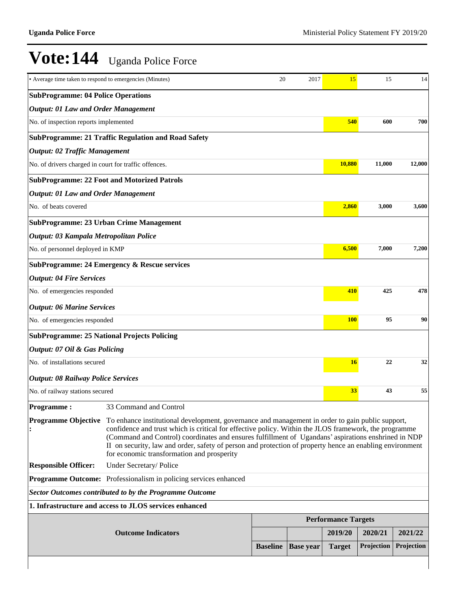| • Average time taken to respond to emergencies (Minutes) |                                                                                                                                                                                                                                                                                                                                                                                                                                                                                                       | 20              | 2017             | 15                         | 15               | 14         |  |  |
|----------------------------------------------------------|-------------------------------------------------------------------------------------------------------------------------------------------------------------------------------------------------------------------------------------------------------------------------------------------------------------------------------------------------------------------------------------------------------------------------------------------------------------------------------------------------------|-----------------|------------------|----------------------------|------------------|------------|--|--|
| <b>SubProgramme: 04 Police Operations</b>                |                                                                                                                                                                                                                                                                                                                                                                                                                                                                                                       |                 |                  |                            |                  |            |  |  |
| <b>Output: 01 Law and Order Management</b>               |                                                                                                                                                                                                                                                                                                                                                                                                                                                                                                       |                 |                  |                            |                  |            |  |  |
| No. of inspection reports implemented                    |                                                                                                                                                                                                                                                                                                                                                                                                                                                                                                       |                 |                  | 540                        | 600              | 700        |  |  |
|                                                          | <b>SubProgramme: 21 Traffic Regulation and Road Safety</b>                                                                                                                                                                                                                                                                                                                                                                                                                                            |                 |                  |                            |                  |            |  |  |
| <b>Output: 02 Traffic Management</b>                     |                                                                                                                                                                                                                                                                                                                                                                                                                                                                                                       |                 |                  |                            |                  |            |  |  |
| No. of drivers charged in court for traffic offences.    |                                                                                                                                                                                                                                                                                                                                                                                                                                                                                                       |                 |                  | 10,880                     | 11,000           | 12,000     |  |  |
|                                                          | <b>SubProgramme: 22 Foot and Motorized Patrols</b>                                                                                                                                                                                                                                                                                                                                                                                                                                                    |                 |                  |                            |                  |            |  |  |
| <b>Output: 01 Law and Order Management</b>               |                                                                                                                                                                                                                                                                                                                                                                                                                                                                                                       |                 |                  |                            |                  |            |  |  |
| No. of beats covered                                     |                                                                                                                                                                                                                                                                                                                                                                                                                                                                                                       |                 |                  | 2,860                      | 3,000            | 3,600      |  |  |
|                                                          | <b>SubProgramme: 23 Urban Crime Management</b>                                                                                                                                                                                                                                                                                                                                                                                                                                                        |                 |                  |                            |                  |            |  |  |
| Output: 03 Kampala Metropolitan Police                   |                                                                                                                                                                                                                                                                                                                                                                                                                                                                                                       |                 |                  |                            |                  |            |  |  |
| No. of personnel deployed in KMP                         |                                                                                                                                                                                                                                                                                                                                                                                                                                                                                                       |                 |                  | 6,500                      | 7,000            | 7,200      |  |  |
|                                                          | <b>SubProgramme: 24 Emergency &amp; Rescue services</b>                                                                                                                                                                                                                                                                                                                                                                                                                                               |                 |                  |                            |                  |            |  |  |
| <b>Output: 04 Fire Services</b>                          |                                                                                                                                                                                                                                                                                                                                                                                                                                                                                                       |                 |                  |                            |                  |            |  |  |
| No. of emergencies responded                             |                                                                                                                                                                                                                                                                                                                                                                                                                                                                                                       |                 |                  | 410                        | 425              | 478        |  |  |
| <b>Output: 06 Marine Services</b>                        |                                                                                                                                                                                                                                                                                                                                                                                                                                                                                                       |                 |                  |                            |                  |            |  |  |
| No. of emergencies responded                             |                                                                                                                                                                                                                                                                                                                                                                                                                                                                                                       |                 |                  |                            | 95<br><b>100</b> | 90         |  |  |
|                                                          | <b>SubProgramme: 25 National Projects Policing</b>                                                                                                                                                                                                                                                                                                                                                                                                                                                    |                 |                  |                            |                  |            |  |  |
| <b>Output: 07 Oil &amp; Gas Policing</b>                 |                                                                                                                                                                                                                                                                                                                                                                                                                                                                                                       |                 |                  |                            |                  |            |  |  |
| No. of installations secured                             |                                                                                                                                                                                                                                                                                                                                                                                                                                                                                                       |                 |                  | 16                         | 22               | 32         |  |  |
| <b>Output: 08 Railway Police Services</b>                |                                                                                                                                                                                                                                                                                                                                                                                                                                                                                                       |                 |                  |                            |                  |            |  |  |
| No. of railway stations secured                          |                                                                                                                                                                                                                                                                                                                                                                                                                                                                                                       |                 |                  | 33                         | 43               | 55         |  |  |
| <b>Programme:</b>                                        | 33 Command and Control                                                                                                                                                                                                                                                                                                                                                                                                                                                                                |                 |                  |                            |                  |            |  |  |
|                                                          | <b>Programme Objective</b> To enhance institutional development, governance and management in order to gain public support,<br>confidence and trust which is critical for effective policy. Within the JLOS framework, the programme<br>(Command and Control) coordinates and ensures fulfillment of Ugandans' aspirations enshrined in NDP<br>II on security, law and order, safety of person and protection of property hence an enabling environment<br>for economic transformation and prosperity |                 |                  |                            |                  |            |  |  |
| <b>Responsible Officer:</b>                              | Under Secretary/Police                                                                                                                                                                                                                                                                                                                                                                                                                                                                                |                 |                  |                            |                  |            |  |  |
|                                                          | Programme Outcome: Professionalism in policing services enhanced                                                                                                                                                                                                                                                                                                                                                                                                                                      |                 |                  |                            |                  |            |  |  |
|                                                          | <b>Sector Outcomes contributed to by the Programme Outcome</b>                                                                                                                                                                                                                                                                                                                                                                                                                                        |                 |                  |                            |                  |            |  |  |
|                                                          | 1. Infrastructure and access to JLOS services enhanced                                                                                                                                                                                                                                                                                                                                                                                                                                                |                 |                  |                            |                  |            |  |  |
|                                                          |                                                                                                                                                                                                                                                                                                                                                                                                                                                                                                       |                 |                  | <b>Performance Targets</b> |                  |            |  |  |
|                                                          | <b>Outcome Indicators</b>                                                                                                                                                                                                                                                                                                                                                                                                                                                                             |                 |                  | 2019/20                    | 2020/21          | 2021/22    |  |  |
|                                                          |                                                                                                                                                                                                                                                                                                                                                                                                                                                                                                       | <b>Baseline</b> | <b>Base year</b> | <b>Target</b>              | Projection       | Projection |  |  |
|                                                          |                                                                                                                                                                                                                                                                                                                                                                                                                                                                                                       |                 |                  |                            |                  |            |  |  |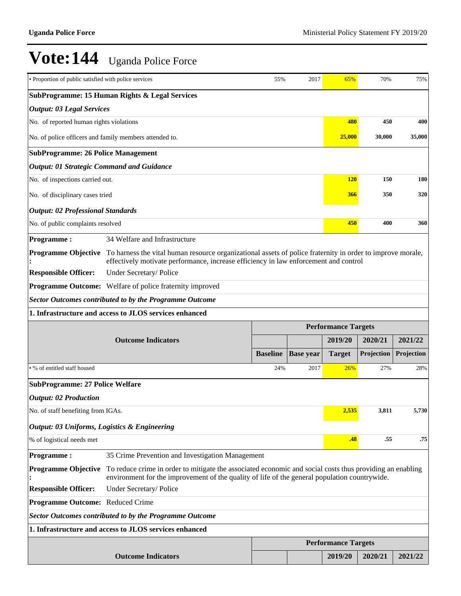| • Proportion of public satisfied with police services           |                                                                                                                                                                                                           | 55%             | 2017             | 65%                                   | 70%        | 75%        |  |  |  |
|-----------------------------------------------------------------|-----------------------------------------------------------------------------------------------------------------------------------------------------------------------------------------------------------|-----------------|------------------|---------------------------------------|------------|------------|--|--|--|
| SubProgramme: 15 Human Rights & Legal Services                  |                                                                                                                                                                                                           |                 |                  |                                       |            |            |  |  |  |
|                                                                 | <b>Output: 03 Legal Services</b>                                                                                                                                                                          |                 |                  |                                       |            |            |  |  |  |
| No. of reported human rights violations                         |                                                                                                                                                                                                           |                 |                  | 480                                   | 450        | 400        |  |  |  |
| No. of police officers and family members attended to.          |                                                                                                                                                                                                           |                 |                  | 25,000                                | 30,000     | 35,000     |  |  |  |
| <b>SubProgramme: 26 Police Management</b>                       |                                                                                                                                                                                                           |                 |                  |                                       |            |            |  |  |  |
| <b>Output: 01 Strategic Command and Guidance</b>                |                                                                                                                                                                                                           |                 |                  |                                       |            |            |  |  |  |
| No. of inspections carried out.                                 |                                                                                                                                                                                                           |                 |                  | <b>120</b>                            | 150        | <b>180</b> |  |  |  |
| No. of disciplinary cases tried                                 |                                                                                                                                                                                                           | <b>366</b>      | 350              | 320                                   |            |            |  |  |  |
| <b>Output: 02 Professional Standards</b>                        |                                                                                                                                                                                                           |                 |                  |                                       |            |            |  |  |  |
| No. of public complaints resolved                               |                                                                                                                                                                                                           |                 |                  | 450                                   | 400        | 360        |  |  |  |
| <b>Programme:</b>                                               | 34 Welfare and Infrastructure                                                                                                                                                                             |                 |                  |                                       |            |            |  |  |  |
| <b>Programme Objective</b>                                      | To harness the vital human resource organizational assets of police fraternity in order to improve morale,<br>effectively motivate performance, increase efficiency in law enforcement and control        |                 |                  |                                       |            |            |  |  |  |
| <b>Responsible Officer:</b>                                     | Under Secretary/Police                                                                                                                                                                                    |                 |                  |                                       |            |            |  |  |  |
| <b>Programme Outcome:</b> Welfare of police fraternity improved |                                                                                                                                                                                                           |                 |                  |                                       |            |            |  |  |  |
| <b>Sector Outcomes contributed to by the Programme Outcome</b>  |                                                                                                                                                                                                           |                 |                  |                                       |            |            |  |  |  |
| 1. Infrastructure and access to JLOS services enhanced          |                                                                                                                                                                                                           |                 |                  |                                       |            |            |  |  |  |
|                                                                 |                                                                                                                                                                                                           |                 |                  |                                       |            |            |  |  |  |
|                                                                 |                                                                                                                                                                                                           |                 |                  | <b>Performance Targets</b>            |            |            |  |  |  |
|                                                                 | <b>Outcome Indicators</b>                                                                                                                                                                                 |                 |                  | 2019/20                               | 2020/21    | 2021/22    |  |  |  |
|                                                                 |                                                                                                                                                                                                           | <b>Baseline</b> | <b>Base year</b> | <b>Target</b>                         | Projection | Projection |  |  |  |
| • % of entitled staff housed                                    |                                                                                                                                                                                                           | 24%             | 2017             | 26%                                   | 27%        | 28%        |  |  |  |
| <b>SubProgramme: 27 Police Welfare</b>                          |                                                                                                                                                                                                           |                 |                  |                                       |            |            |  |  |  |
| <b>Output: 02 Production</b>                                    |                                                                                                                                                                                                           |                 |                  |                                       |            |            |  |  |  |
| No. of staff benefiting from IGAs.                              |                                                                                                                                                                                                           |                 |                  | 2.535                                 | 3.811      | 5.730      |  |  |  |
| Output: 03 Uniforms, Logistics & Engineering                    |                                                                                                                                                                                                           |                 |                  |                                       |            |            |  |  |  |
| % of logistical needs met                                       |                                                                                                                                                                                                           |                 |                  | .48                                   | .55        | .75        |  |  |  |
| <b>Programme:</b>                                               | 35 Crime Prevention and Investigation Management                                                                                                                                                          |                 |                  |                                       |            |            |  |  |  |
| <b>Programme Objective</b>                                      | To reduce crime in order to mitigate the associated economic and social costs thus providing an enabling<br>environment for the improvement of the quality of life of the general population countrywide. |                 |                  |                                       |            |            |  |  |  |
| <b>Responsible Officer:</b>                                     | Under Secretary/Police                                                                                                                                                                                    |                 |                  |                                       |            |            |  |  |  |
| Programme Outcome: Reduced Crime                                |                                                                                                                                                                                                           |                 |                  |                                       |            |            |  |  |  |
|                                                                 | <b>Sector Outcomes contributed to by the Programme Outcome</b>                                                                                                                                            |                 |                  |                                       |            |            |  |  |  |
|                                                                 | 1. Infrastructure and access to JLOS services enhanced                                                                                                                                                    |                 |                  |                                       |            |            |  |  |  |
|                                                                 |                                                                                                                                                                                                           |                 |                  | <b>Performance Targets</b><br>2019/20 |            |            |  |  |  |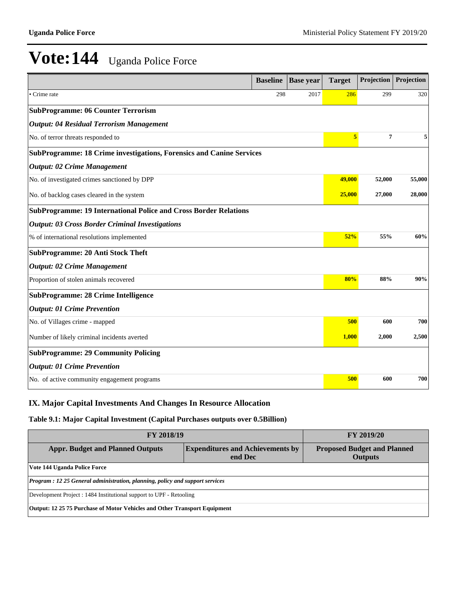|                                                                         | <b>Baseline</b> | <b>Base year</b> | <b>Target</b> | Projection | Projection |  |  |  |
|-------------------------------------------------------------------------|-----------------|------------------|---------------|------------|------------|--|--|--|
| Crime rate                                                              | 298             | 2017             | 286           | 299        | 320        |  |  |  |
| <b>SubProgramme: 06 Counter Terrorism</b>                               |                 |                  |               |            |            |  |  |  |
| <b>Output: 04 Residual Terrorism Management</b>                         |                 |                  |               |            |            |  |  |  |
| No. of terror threats responded to                                      |                 |                  | 5             | 7          | 5          |  |  |  |
| SubProgramme: 18 Crime investigations, Forensics and Canine Services    |                 |                  |               |            |            |  |  |  |
| <b>Output: 02 Crime Management</b>                                      |                 |                  |               |            |            |  |  |  |
| No. of investigated crimes sanctioned by DPP                            |                 |                  | 49,000        | 52,000     | 55,000     |  |  |  |
| No. of backlog cases cleared in the system                              |                 |                  | 25,000        | 27,000     | 28,000     |  |  |  |
| <b>SubProgramme: 19 International Police and Cross Border Relations</b> |                 |                  |               |            |            |  |  |  |
| <b>Output: 03 Cross Border Criminal Investigations</b>                  |                 |                  |               |            |            |  |  |  |
| % of international resolutions implemented                              |                 |                  | 52%           | 55%        | 60%        |  |  |  |
| SubProgramme: 20 Anti Stock Theft                                       |                 |                  |               |            |            |  |  |  |
| <b>Output: 02 Crime Management</b>                                      |                 |                  |               |            |            |  |  |  |
| Proportion of stolen animals recovered                                  |                 |                  | 80%           | 88%        | 90%        |  |  |  |
| <b>SubProgramme: 28 Crime Intelligence</b>                              |                 |                  |               |            |            |  |  |  |
| <b>Output: 01 Crime Prevention</b>                                      |                 |                  |               |            |            |  |  |  |
| No. of Villages crime - mapped                                          |                 |                  | 500           | 600        | 700        |  |  |  |
| Number of likely criminal incidents averted                             |                 |                  | 1,000         | 2,000      | 2,500      |  |  |  |
| <b>SubProgramme: 29 Community Policing</b>                              |                 |                  |               |            |            |  |  |  |
| <b>Output: 01 Crime Prevention</b>                                      |                 |                  |               |            |            |  |  |  |
| No. of active community engagement programs                             |                 |                  | 500           | 600        | 700        |  |  |  |

### **IX. Major Capital Investments And Changes In Resource Allocation**

**Table 9.1: Major Capital Investment (Capital Purchases outputs over 0.5Billion)**

| <b>FY 2018/19</b>                                                                    | <b>FY 2019/20</b>                                    |  |  |  |  |  |  |
|--------------------------------------------------------------------------------------|------------------------------------------------------|--|--|--|--|--|--|
| <b>Appr. Budget and Planned Outputs</b>                                              | <b>Proposed Budget and Planned</b><br><b>Outputs</b> |  |  |  |  |  |  |
| Vote 144 Uganda Police Force                                                         |                                                      |  |  |  |  |  |  |
| <b>Program : 12 25 General administration, planning, policy and support services</b> |                                                      |  |  |  |  |  |  |
| Development Project : 1484 Institutional support to UPF - Retooling                  |                                                      |  |  |  |  |  |  |
| Output: 12 25 75 Purchase of Motor Vehicles and Other Transport Equipment            |                                                      |  |  |  |  |  |  |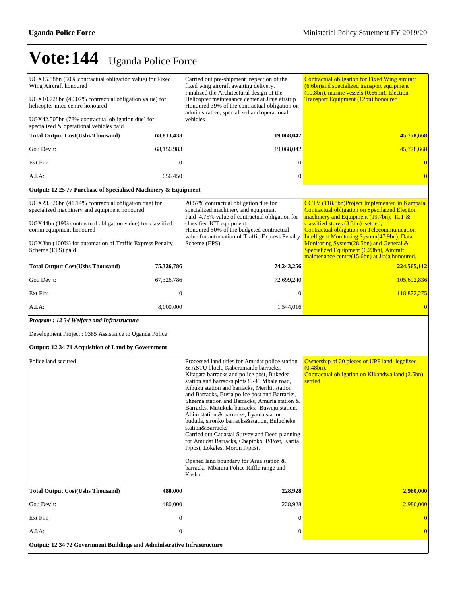| UGX15.58bn (50% contractual obligation value) for Fixed<br>Wing Aircraft honoured<br>UGX10.728bn (40.07% contractual obligation value) for<br>helicopter mtce centre honoured<br>UGX42.505bn (78% contractual obligation due) for                                           |                  | Carried out pre-shipment inspection of the<br>fixed wing aircraft awaiting delivery.<br>Finalized the Architectural design of the<br>Helicopter maintenance center at Jinja airstrip<br>Honoured 39% of the contractual obligation on<br>administrative, specialized and operational<br>vehicles                                                                                                                                                                                                                                                                                                                                                                                                                                            | <b>Contractual obligation for Fixed Wing aircraft</b><br>(6.6bn) and specialized transport equipment<br>$(10.8bn)$ , marine vessels $(0.66bn)$ , Election<br><b>Transport Equipment (12bn) honoured</b>                                                                                                                                                                                                                             |
|-----------------------------------------------------------------------------------------------------------------------------------------------------------------------------------------------------------------------------------------------------------------------------|------------------|---------------------------------------------------------------------------------------------------------------------------------------------------------------------------------------------------------------------------------------------------------------------------------------------------------------------------------------------------------------------------------------------------------------------------------------------------------------------------------------------------------------------------------------------------------------------------------------------------------------------------------------------------------------------------------------------------------------------------------------------|-------------------------------------------------------------------------------------------------------------------------------------------------------------------------------------------------------------------------------------------------------------------------------------------------------------------------------------------------------------------------------------------------------------------------------------|
| specialized & operational vehicles paid                                                                                                                                                                                                                                     |                  |                                                                                                                                                                                                                                                                                                                                                                                                                                                                                                                                                                                                                                                                                                                                             |                                                                                                                                                                                                                                                                                                                                                                                                                                     |
| <b>Total Output Cost(Ushs Thousand)</b>                                                                                                                                                                                                                                     | 68,813,433       | 19,068,042                                                                                                                                                                                                                                                                                                                                                                                                                                                                                                                                                                                                                                                                                                                                  | 45,778,668                                                                                                                                                                                                                                                                                                                                                                                                                          |
| Gou Dev't:                                                                                                                                                                                                                                                                  | 68,156,983       | 19,068,042                                                                                                                                                                                                                                                                                                                                                                                                                                                                                                                                                                                                                                                                                                                                  | 45,778,668                                                                                                                                                                                                                                                                                                                                                                                                                          |
| Ext Fin:                                                                                                                                                                                                                                                                    | $\boldsymbol{0}$ | $\boldsymbol{0}$                                                                                                                                                                                                                                                                                                                                                                                                                                                                                                                                                                                                                                                                                                                            | $\bf{0}$                                                                                                                                                                                                                                                                                                                                                                                                                            |
| A.I.A:                                                                                                                                                                                                                                                                      | 656,450          | $\boldsymbol{0}$                                                                                                                                                                                                                                                                                                                                                                                                                                                                                                                                                                                                                                                                                                                            | $\overline{0}$                                                                                                                                                                                                                                                                                                                                                                                                                      |
| Output: 12 25 77 Purchase of Specialised Machinery & Equipment                                                                                                                                                                                                              |                  |                                                                                                                                                                                                                                                                                                                                                                                                                                                                                                                                                                                                                                                                                                                                             |                                                                                                                                                                                                                                                                                                                                                                                                                                     |
| UGX23.326bn (41.14% contractual obligation due) for<br>specialized machinery and equipment honoured<br>UGX44bn (19% contractual obligation value) for classified<br>comm equipment honoured<br>UGX8bn (100%) for automation of Traffic Express Penalty<br>Scheme (EPS) paid |                  | 20.57% contractual obligation due for<br>specialized machinery and equipment<br>Paid 4.75% value of contractual obligation for<br>classified ICT equipment<br>Honoured 50% of the budgeted contractual<br>value for automation of Traffic Express Penalty<br>Scheme (EPS)                                                                                                                                                                                                                                                                                                                                                                                                                                                                   | CCTV (118.8bn)Project Implemented in Kampala<br><b>Contractual obligation on Specilaized Election</b><br>machinery and Equipment $(19.7bn)$ , ICT &<br>classified stores (3.3bn) settled,<br>Contractual obligation on Telecommunication<br>Intelligent Monitoring System(47.9bn), Data<br>Monitoring System $(28.5$ bn) and General &<br>Specialized Equipment (6.23bn), Aircraft<br>maintenance centre(15.6bn) at Jinja honoured. |
| <b>Total Output Cost(Ushs Thousand)</b>                                                                                                                                                                                                                                     | 75,326,786       | 74,243,256                                                                                                                                                                                                                                                                                                                                                                                                                                                                                                                                                                                                                                                                                                                                  | 224,565,112                                                                                                                                                                                                                                                                                                                                                                                                                         |
| Gou Dev't:                                                                                                                                                                                                                                                                  | 67,326,786       | 72,699,240                                                                                                                                                                                                                                                                                                                                                                                                                                                                                                                                                                                                                                                                                                                                  | 105,692,836                                                                                                                                                                                                                                                                                                                                                                                                                         |
| Ext Fin:                                                                                                                                                                                                                                                                    | $\boldsymbol{0}$ | $\boldsymbol{0}$                                                                                                                                                                                                                                                                                                                                                                                                                                                                                                                                                                                                                                                                                                                            | 118,872,275                                                                                                                                                                                                                                                                                                                                                                                                                         |
| A.I.A:                                                                                                                                                                                                                                                                      | 8,000,000        | 1,544,016                                                                                                                                                                                                                                                                                                                                                                                                                                                                                                                                                                                                                                                                                                                                   | $\mathbf{0}$                                                                                                                                                                                                                                                                                                                                                                                                                        |
| Program: 12 34 Welfare and Infrastructure                                                                                                                                                                                                                                   |                  |                                                                                                                                                                                                                                                                                                                                                                                                                                                                                                                                                                                                                                                                                                                                             |                                                                                                                                                                                                                                                                                                                                                                                                                                     |
| Development Project : 0385 Assistance to Uganda Police                                                                                                                                                                                                                      |                  |                                                                                                                                                                                                                                                                                                                                                                                                                                                                                                                                                                                                                                                                                                                                             |                                                                                                                                                                                                                                                                                                                                                                                                                                     |
| Output: 12 34 71 Acquisition of Land by Government                                                                                                                                                                                                                          |                  |                                                                                                                                                                                                                                                                                                                                                                                                                                                                                                                                                                                                                                                                                                                                             |                                                                                                                                                                                                                                                                                                                                                                                                                                     |
| Police land secured                                                                                                                                                                                                                                                         |                  | Processed land titles for Amudat police station<br>& ASTU block, Kaberamaido barracks,<br>Kitagata barracks and police post, Bukedea<br>station and barracks plots 39-49 Mbale road,<br>Kibuku station and barracks, Merikit station<br>and Barracks, Busia police post and Barracks,<br>Sheema station and Barracks, Amuria station &<br>Barracks, Mutukula barracks, Buweju station,<br>Abim station & barracks, Lyama station<br>bududa, sironko barracks&station, Bulucheke<br>station&Barracks<br>Carried out Cadastal Survey and Deed planning<br>for Amudat Barracks, Cheptokol P/Post, Karita<br>P/post, Lokales, Moron P/post.<br>Opened land boundary for Arua station $&$<br>barrack, Mbarara Police Riffle range and<br>Kashari | Ownership of 20 pieces of UPF land legalised<br>$(0.48bn)$ .<br>Contractual obligation on Kikandwa land (2.5bn)<br>settled                                                                                                                                                                                                                                                                                                          |
| <b>Total Output Cost(Ushs Thousand)</b>                                                                                                                                                                                                                                     | 480,000          | 228,928                                                                                                                                                                                                                                                                                                                                                                                                                                                                                                                                                                                                                                                                                                                                     | 2,980,000                                                                                                                                                                                                                                                                                                                                                                                                                           |
| Gou Dev't:                                                                                                                                                                                                                                                                  | 480,000          | 228,928                                                                                                                                                                                                                                                                                                                                                                                                                                                                                                                                                                                                                                                                                                                                     | 2,980,000                                                                                                                                                                                                                                                                                                                                                                                                                           |
| Ext Fin:                                                                                                                                                                                                                                                                    | $\mathbf{0}$     | $\boldsymbol{0}$                                                                                                                                                                                                                                                                                                                                                                                                                                                                                                                                                                                                                                                                                                                            | $\mathbf{0}$                                                                                                                                                                                                                                                                                                                                                                                                                        |
| A.I.A:                                                                                                                                                                                                                                                                      | $\boldsymbol{0}$ | $\boldsymbol{0}$                                                                                                                                                                                                                                                                                                                                                                                                                                                                                                                                                                                                                                                                                                                            | $\overline{0}$                                                                                                                                                                                                                                                                                                                                                                                                                      |
| Output: 12 34 72 Government Buildings and Administrative Infrastructure                                                                                                                                                                                                     |                  |                                                                                                                                                                                                                                                                                                                                                                                                                                                                                                                                                                                                                                                                                                                                             |                                                                                                                                                                                                                                                                                                                                                                                                                                     |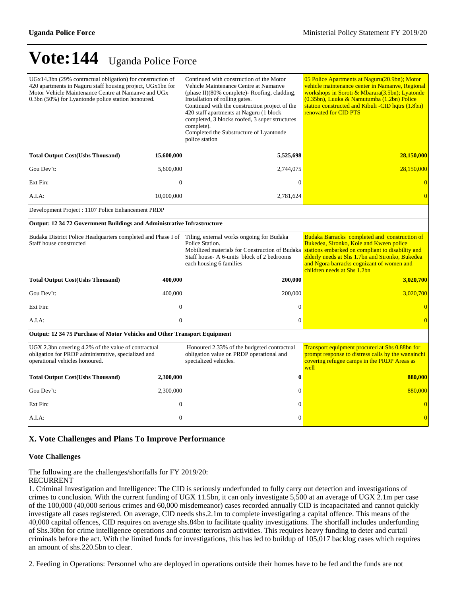| $UGx14.3bn$ (29% contractual obligation) for construction of<br>420 apartments in Naguru staff housing project, UGx1bn for<br>Motor Vehicle Maintenance Centre at Namanve and UGx<br>0.3bn (50%) for Lyantonde police station honoured. |                                                    | Continued with construction of the Motor<br>Vehicle Maintenance Centre at Namanye<br>(phase II)(80% complete)- Roofing, cladding,<br>Installation of rolling gates.<br>Continued with the construction project of the<br>420 staff apartments at Naguru (1 block<br>completed, 3 blocks roofed, 3 super structures<br>complete).<br>Completed the Substructure of Lyantonde<br>police station | 05 Police Apartments at Naguru(20.9bn); Motor<br>vehicle maintenance center in Namanye, Regional<br>workshops in Soroti & Mbarara(3.5bn); Lyatonde<br>(0.35bn), Luuka & Namutumba (1.2bn) Police<br>station constructed and Kibuli -CID hqtrs (1.8bn)<br>renovated for CID PTS |  |  |  |  |  |  |  |
|-----------------------------------------------------------------------------------------------------------------------------------------------------------------------------------------------------------------------------------------|----------------------------------------------------|-----------------------------------------------------------------------------------------------------------------------------------------------------------------------------------------------------------------------------------------------------------------------------------------------------------------------------------------------------------------------------------------------|--------------------------------------------------------------------------------------------------------------------------------------------------------------------------------------------------------------------------------------------------------------------------------|--|--|--|--|--|--|--|
| <b>Total Output Cost(Ushs Thousand)</b>                                                                                                                                                                                                 | 15,600,000                                         | 5,525,698                                                                                                                                                                                                                                                                                                                                                                                     | 28,150,000                                                                                                                                                                                                                                                                     |  |  |  |  |  |  |  |
| Gou Dev't:                                                                                                                                                                                                                              | 5,600,000                                          | 2,744,075                                                                                                                                                                                                                                                                                                                                                                                     | 28,150,000                                                                                                                                                                                                                                                                     |  |  |  |  |  |  |  |
| Ext Fin:                                                                                                                                                                                                                                | $\overline{0}$                                     | $\mathbf{0}$                                                                                                                                                                                                                                                                                                                                                                                  |                                                                                                                                                                                                                                                                                |  |  |  |  |  |  |  |
| A.I.A:                                                                                                                                                                                                                                  | 10,000,000                                         | 2,781,624                                                                                                                                                                                                                                                                                                                                                                                     | $\overline{0}$                                                                                                                                                                                                                                                                 |  |  |  |  |  |  |  |
|                                                                                                                                                                                                                                         | Development Project : 1107 Police Enhancement PRDP |                                                                                                                                                                                                                                                                                                                                                                                               |                                                                                                                                                                                                                                                                                |  |  |  |  |  |  |  |
| <b>Output: 12 34 72 Government Buildings and Administrative Infrastructure</b>                                                                                                                                                          |                                                    |                                                                                                                                                                                                                                                                                                                                                                                               |                                                                                                                                                                                                                                                                                |  |  |  |  |  |  |  |
| Budaka District Police Headquarters completed and Phase I of Tiling, external works ongoing for Budaka<br>Staff house constructed                                                                                                       |                                                    | Police Station.<br>Mobilized materials for Construction of Budaka<br>Staff house-A 6-units block of 2 bedrooms<br>each housing 6 families                                                                                                                                                                                                                                                     | Budaka Barracks completed and construction of<br>Bukedea, Sironko, Kole and Kween police<br>stations embarked on compliant to disability and<br>elderly needs at Shs 1.7bn and Sironko, Bukedea<br>and Ngora barracks cognizant of women and<br>children needs at Shs 1.2bn    |  |  |  |  |  |  |  |
| <b>Total Output Cost(Ushs Thousand)</b>                                                                                                                                                                                                 | 400,000                                            | 200,000                                                                                                                                                                                                                                                                                                                                                                                       | 3,020,700                                                                                                                                                                                                                                                                      |  |  |  |  |  |  |  |
| Gou Dev't:                                                                                                                                                                                                                              | 400,000                                            | 200,000                                                                                                                                                                                                                                                                                                                                                                                       | 3,020,700                                                                                                                                                                                                                                                                      |  |  |  |  |  |  |  |
| Ext Fin:                                                                                                                                                                                                                                | $\overline{0}$                                     | $\mathbf{0}$                                                                                                                                                                                                                                                                                                                                                                                  |                                                                                                                                                                                                                                                                                |  |  |  |  |  |  |  |
| A.I.A:                                                                                                                                                                                                                                  | $\overline{0}$                                     | $\overline{0}$                                                                                                                                                                                                                                                                                                                                                                                | $\overline{0}$                                                                                                                                                                                                                                                                 |  |  |  |  |  |  |  |
| Output: 12 34 75 Purchase of Motor Vehicles and Other Transport Equipment                                                                                                                                                               |                                                    |                                                                                                                                                                                                                                                                                                                                                                                               |                                                                                                                                                                                                                                                                                |  |  |  |  |  |  |  |
| UGX 2.3bn covering 4.2% of the value of contractual<br>obligation for PRDP administrative, specialized and<br>operational vehicles honoured.                                                                                            |                                                    | Honoured 2.33% of the budgeted contractual<br>obligation value on PRDP operational and<br>specialized vehicles.                                                                                                                                                                                                                                                                               | Transport equipment procured at Shs 0.88bn for<br>prompt response to distress calls by the wanainchi<br>covering refugee camps in the PRDP Areas as<br>well                                                                                                                    |  |  |  |  |  |  |  |
| <b>Total Output Cost(Ushs Thousand)</b>                                                                                                                                                                                                 | 2,300,000                                          | $\bf{0}$                                                                                                                                                                                                                                                                                                                                                                                      | 880,000                                                                                                                                                                                                                                                                        |  |  |  |  |  |  |  |
| Gou Dev't:                                                                                                                                                                                                                              | 2,300,000                                          | $\mathbf{0}$                                                                                                                                                                                                                                                                                                                                                                                  | 880,000                                                                                                                                                                                                                                                                        |  |  |  |  |  |  |  |
| Ext Fin:                                                                                                                                                                                                                                | $\overline{0}$                                     | $\mathbf{0}$                                                                                                                                                                                                                                                                                                                                                                                  | $\overline{0}$                                                                                                                                                                                                                                                                 |  |  |  |  |  |  |  |
| A.I.A:                                                                                                                                                                                                                                  | $\overline{0}$                                     | $\mathbf{0}$                                                                                                                                                                                                                                                                                                                                                                                  |                                                                                                                                                                                                                                                                                |  |  |  |  |  |  |  |

### **X. Vote Challenges and Plans To Improve Performance**

#### **Vote Challenges**

The following are the challenges/shortfalls for FY 2019/20:

#### RECURRENT

1. Criminal Investigation and Intelligence: The CID is seriously underfunded to fully carry out detection and investigations of crimes to conclusion. With the current funding of UGX 11.5bn, it can only investigate 5,500 at an average of UGX 2.1m per case of the 100,000 (40,000 serious crimes and 60,000 misdemeanor) cases recorded annually CID is incapacitated and cannot quickly investigate all cases registered. On average, CID needs shs.2.1m to complete investigating a capital offence. This means of the 40,000 capital offences, CID requires on average shs.84bn to facilitate quality investigations. The shortfall includes underfunding of Shs.30bn for crime intelligence operations and counter terrorism activities. This requires heavy funding to deter and curtail criminals before the act. With the limited funds for investigations, this has led to buildup of 105,017 backlog cases which requires an amount of shs.220.5bn to clear.

2. Feeding in Operations: Personnel who are deployed in operations outside their homes have to be fed and the funds are not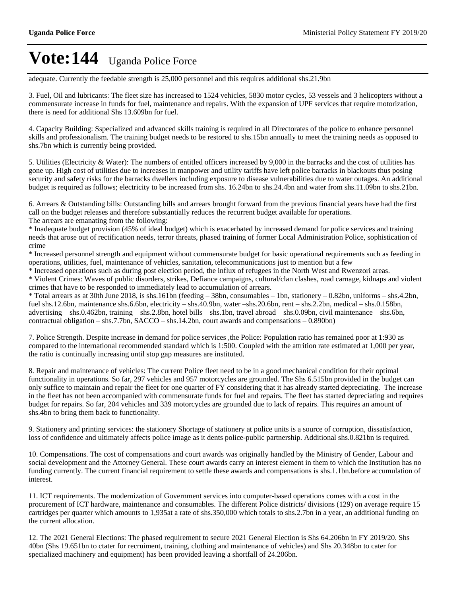adequate. Currently the feedable strength is 25,000 personnel and this requires additional shs.21.9bn

3. Fuel, Oil and lubricants: The fleet size has increased to 1524 vehicles, 5830 motor cycles, 53 vessels and 3 helicopters without a commensurate increase in funds for fuel, maintenance and repairs. With the expansion of UPF services that require motorization, there is need for additional Shs 13.609bn for fuel.

4. Capacity Building: Sspecialized and advanced skills training is required in all Directorates of the police to enhance personnel skills and professionalism. The training budget needs to be restored to shs.15bn annually to meet the training needs as opposed to shs.7bn which is currently being provided.

5. Utilities (Electricity & Water): The numbers of entitled officers increased by 9,000 in the barracks and the cost of utilities has gone up. High cost of utilities due to increases in manpower and utility tariffs have left police barracks in blackouts thus posing security and safety risks for the barracks dwellers including exposure to disease vulnerabilities due to water outages. An additional budget is required as follows; electricity to be increased from shs. 16.24bn to shs.24.4bn and water from shs.11.09bn to shs.21bn.

6. Arrears & Outstanding bills: Outstanding bills and arrears brought forward from the previous financial years have had the first call on the budget releases and therefore substantially reduces the recurrent budget available for operations. The arrears are emanating from the following:

\* Inadequate budget provision (45% of ideal budget) which is exacerbated by increased demand for police services and training needs that arose out of rectification needs, terror threats, phased training of former Local Administration Police, sophistication of crime

\* Increased personnel strength and equipment without commensurate budget for basic operational requirements such as feeding in operations, utilities, fuel, maintenance of vehicles, sanitation, telecommunications just to mention but a few

\* Increased operations such as during post election period, the influx of refugees in the North West and Rwenzori areas.

\* Violent Crimes: Waves of public disorders, strikes, Defiance campaigns, cultural/clan clashes, road carnage, kidnaps and violent crimes that have to be responded to immediately lead to accumulation of arrears.

 $*$  Total arrears as at 30th June 2018, is shs.161bn (feeding  $-$  38bn, consumables  $-$  1bn, stationery  $-$  0.82bn, uniforms  $-$  shs.4.2bn, fuel shs.12.6bn, maintenance shs.6.6bn, electricity  $-$  shs.40.9bn, water  $-s$ hs.20.6bn, rent  $-$  shs.2.2bn, medical  $-$  shs.0.158bn, advertising  $-$  shs.0.462bn, training  $-$  shs.2.8bn, hotel bills  $-$  shs.1bn, travel abroad  $-$  shs.0.09bn, civil maintenance  $-$  shs.6bn, contractual obligation  $-$  shs.7.7bn, SACCO  $-$  shs.14.2bn, court awards and compensations  $-$  0.890bn)

7. Police Strength. Despite increase in demand for police services ,the Police: Population ratio has remained poor at 1:930 as compared to the international recommended standard which is 1:500. Coupled with the attrition rate estimated at 1,000 per year, the ratio is continually increasing until stop gap measures are instituted.

8. Repair and maintenance of vehicles: The current Police fleet need to be in a good mechanical condition for their optimal functionality in operations. So far, 297 vehicles and 957 motorcycles are grounded. The Shs 6.515bn provided in the budget can only suffice to maintain and repair the fleet for one quarter of FY considering that it has already started depreciating. The increase in the fleet has not been accompanied with commensurate funds for fuel and repairs. The fleet has started depreciating and requires budget for repairs. So far, 204 vehicles and 339 motorcycles are grounded due to lack of repairs. This requires an amount of shs.4bn to bring them back to functionality.

9. Stationery and printing services: the stationery Shortage of stationery at police units is a source of corruption, dissatisfaction, loss of confidence and ultimately affects police image as it dents police-public partnership. Additional shs.0.821bn is required.

10. Compensations. The cost of compensations and court awards was originally handled by the Ministry of Gender, Labour and social development and the Attorney General. These court awards carry an interest element in them to which the Institution has no funding currently. The current financial requirement to settle these awards and compensations is shs.1.1bn.before accumulation of interest.

11. ICT requirements. The modernization of Government services into computer-based operations comes with a cost in the procurement of ICT hardware, maintenance and consumables. The different Police districts/ divisions (129) on average require 15 cartridges per quarter which amounts to 1,935at a rate of shs.350,000 which totals to shs.2.7bn in a year, an additional funding on the current allocation.

12. The 2021 General Elections: The phased requirement to secure 2021 General Election is Shs 64.206bn in FY 2019/20. Shs 40bn (Shs 19.651bn to ctater for recruiment, training, clothing and maintenance of vehicles) and Shs 20.348bn to cater for specialized machinery and equipment) has been provided leaving a shortfall of 24.206bn.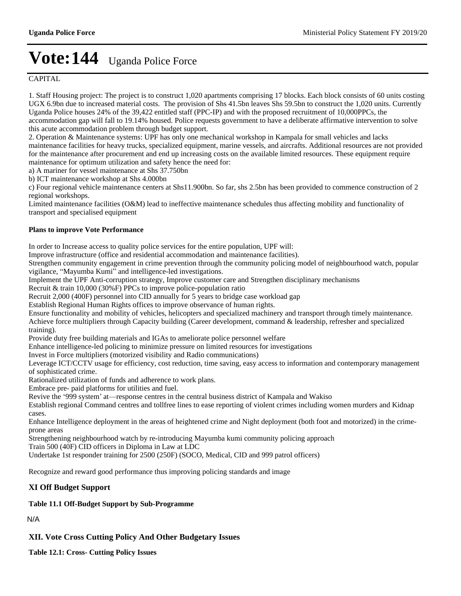### **CAPITAL**

1. Staff Housing project: The project is to construct 1,020 apartments comprising 17 blocks. Each block consists of 60 units costing UGX 6.9bn due to increased material costs. The provision of Shs 41.5bn leaves Shs 59.5bn to construct the 1,020 units. Currently Uganda Police houses 24% of the 39,422 entitled staff (PPC-IP) and with the proposed recruitment of 10,000PPCs, the accommodation gap will fall to 19.14% housed. Police requests government to have a deliberate affirmative intervention to solve this acute accommodation problem through budget support.

2. Operation & Maintenance systems: UPF has only one mechanical workshop in Kampala for small vehicles and lacks maintenance facilities for heavy trucks, specialized equipment, marine vessels, and aircrafts. Additional resources are not provided for the maintenance after procurement and end up increasing costs on the available limited resources. These equipment require maintenance for optimum utilization and safety hence the need for:

a) A mariner for vessel maintenance at Shs 37.750bn

b) ICT maintenance workshop at Shs 4.000bn

c) Four regional vehicle maintenance centers at Shs11.900bn. So far, shs 2.5bn has been provided to commence construction of 2 regional workshops.

Limited maintenance facilities (O&M) lead to ineffective maintenance schedules thus affecting mobility and functionality of transport and specialised equipment

#### **Plans to improve Vote Performance**

In order to Increase access to quality police services for the entire population, UPF will:

Improve infrastructure (office and residential accommodation and maintenance facilities).

Strengthen community engagement in crime prevention through the community policing model of neighbourhood watch, popular vigilance, "Mayumba Kumi" and intelligence-led investigations.

Implement the UPF Anti-corruption strategy, Improve customer care and Strengthen disciplinary mechanisms

Recruit & train 10,000 (30%F) PPCs to improve police-population ratio

Recruit 2,000 (400F) personnel into CID annually for 5 years to bridge case workload gap

Establish Regional Human Rights offices to improve observance of human rights.

Ensure functionality and mobility of vehicles, helicopters and specialized machinery and transport through timely maintenance. Achieve force multipliers through Capacity building (Career development, command & leadership, refresher and specialized training).

Provide duty free building materials and IGAs to ameliorate police personnel welfare

Enhance intelligence-led policing to minimize pressure on limited resources for investigations

Invest in Force multipliers (motorized visibility and Radio communications)

Leverage ICT/CCTV usage for efficiency, cost reduction, time saving, easy access to information and contemporary management of sophisticated crime.

Rationalized utilization of funds and adherence to work plans.

Embrace pre- paid platforms for utilities and fuel.

Revive the '999 system' at—response centres in the central business district of Kampala and Wakiso

Establish regional Command centres and tollfree lines to ease reporting of violent crimes including women murders and Kidnap cases.

Enhance Intelligence deployment in the areas of heightened crime and Night deployment (both foot and motorized) in the crimeprone areas

Strengthening neighbourhood watch by re-introducing Mayumba kumi community policing approach

Train 500 (40F) CID officers in Diploma in Law at LDC

Undertake 1st responder training for 2500 (250F) (SOCO, Medical, CID and 999 patrol officers)

Recognize and reward good performance thus improving policing standards and image

#### **XI Off Budget Support**

### **Table 11.1 Off-Budget Support by Sub-Programme**

N/A

### **XII. Vote Cross Cutting Policy And Other Budgetary Issues**

**Table 12.1: Cross- Cutting Policy Issues**